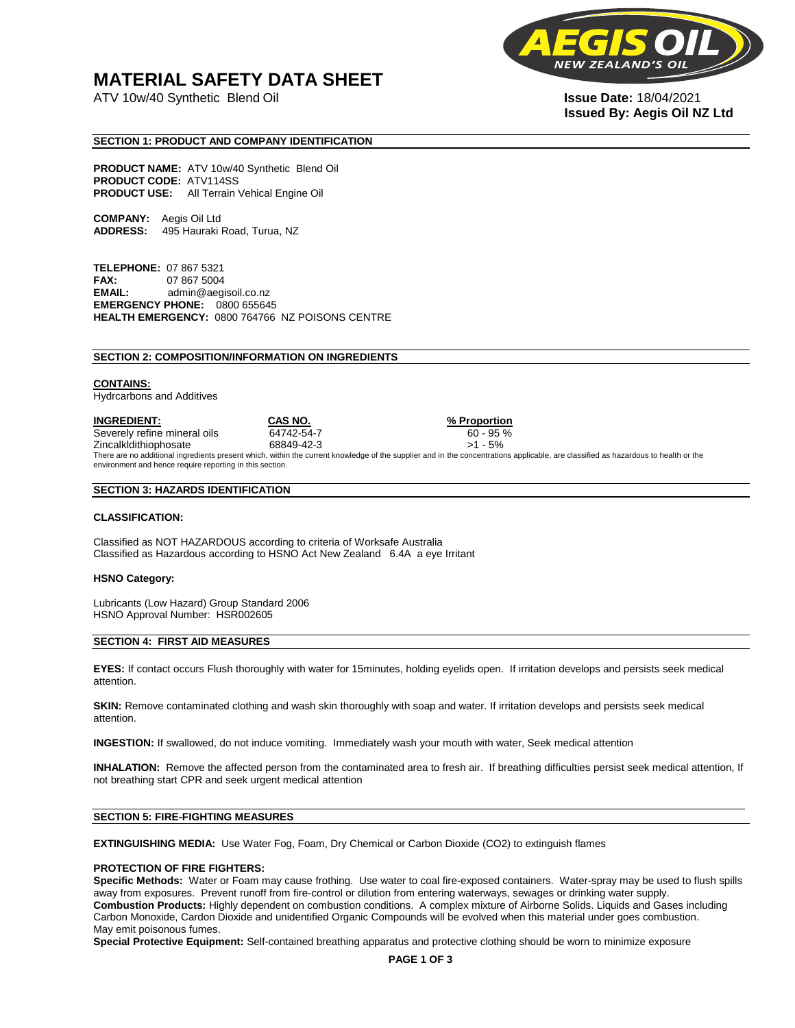# **MATERIAL SAFETY DATA SHEET**

ATV 10w/40 Synthetic Blend Oil **Issue Date:** 18/04/2021



# **Issued By: Aegis Oil NZ Ltd**

#### **SECTION 1: PRODUCT AND COMPANY IDENTIFICATION**

**PRODUCT NAME:** ATV 10w/40 Synthetic Blend Oil **PRODUCT CODE:** ATV114SS **PRODUCT USE:** All Terrain Vehical Engine Oil

**COMPANY:** Aegis Oil Ltd **ADDRESS:** 495 Hauraki Road, Turua, NZ

**TELEPHONE:** 07 867 5321 **FAX:** 07 867 5004 **EMAIL:** admin@aegisoil.co.nz **EMERGENCY PHONE:** 0800 655645 **HEALTH EMERGENCY:** 0800 764766 NZ POISONS CENTRE

#### **SECTION 2: COMPOSITION/INFORMATION ON INGREDIENTS**

#### **CONTAINS:**

Hydrcarbons and Additives

**INGREDIENT: CAS NO. % Proportion**  Severely refine mineral oils 64742-54-7 60 - 95 % Zincalkldithiophosate 68849-42-3 >1 - 5% There are no additional ingredients present which, within the current knowledge of the supplier and in the concentrations applicable, are classified as hazardous to health or the environment and hence require reporting in this section.

#### **SECTION 3: HAZARDS IDENTIFICATION**

#### **CLASSIFICATION:**

Classified as NOT HAZARDOUS according to criteria of Worksafe Australia Classified as Hazardous according to HSNO Act New Zealand 6.4A a eye Irritant

#### **HSNO Category:**

Lubricants (Low Hazard) Group Standard 2006 HSNO Approval Number: HSR002605

#### **SECTION 4: FIRST AID MEASURES**

**EYES:** If contact occurs Flush thoroughly with water for 15minutes, holding eyelids open. If irritation develops and persists seek medical attention.

**SKIN:** Remove contaminated clothing and wash skin thoroughly with soap and water. If irritation develops and persists seek medical attention.

**INGESTION:** If swallowed, do not induce vomiting. Immediately wash your mouth with water, Seek medical attention

**INHALATION:** Remove the affected person from the contaminated area to fresh air. If breathing difficulties persist seek medical attention, If not breathing start CPR and seek urgent medical attention

#### **SECTION 5: FIRE-FIGHTING MEASURES**

**EXTINGUISHING MEDIA:** Use Water Fog, Foam, Dry Chemical or Carbon Dioxide (CO2) to extinguish flames

#### **PROTECTION OF FIRE FIGHTERS:**

**Specific Methods:** Water or Foam may cause frothing. Use water to coal fire-exposed containers. Water-spray may be used to flush spills away from exposures. Prevent runoff from fire-control or dilution from entering waterways, sewages or drinking water supply. **Combustion Products:** Highly dependent on combustion conditions. A complex mixture of Airborne Solids. Liquids and Gases including Carbon Monoxide, Cardon Dioxide and unidentified Organic Compounds will be evolved when this material under goes combustion. May emit poisonous fumes.

**Special Protective Equipment:** Self-contained breathing apparatus and protective clothing should be worn to minimize exposure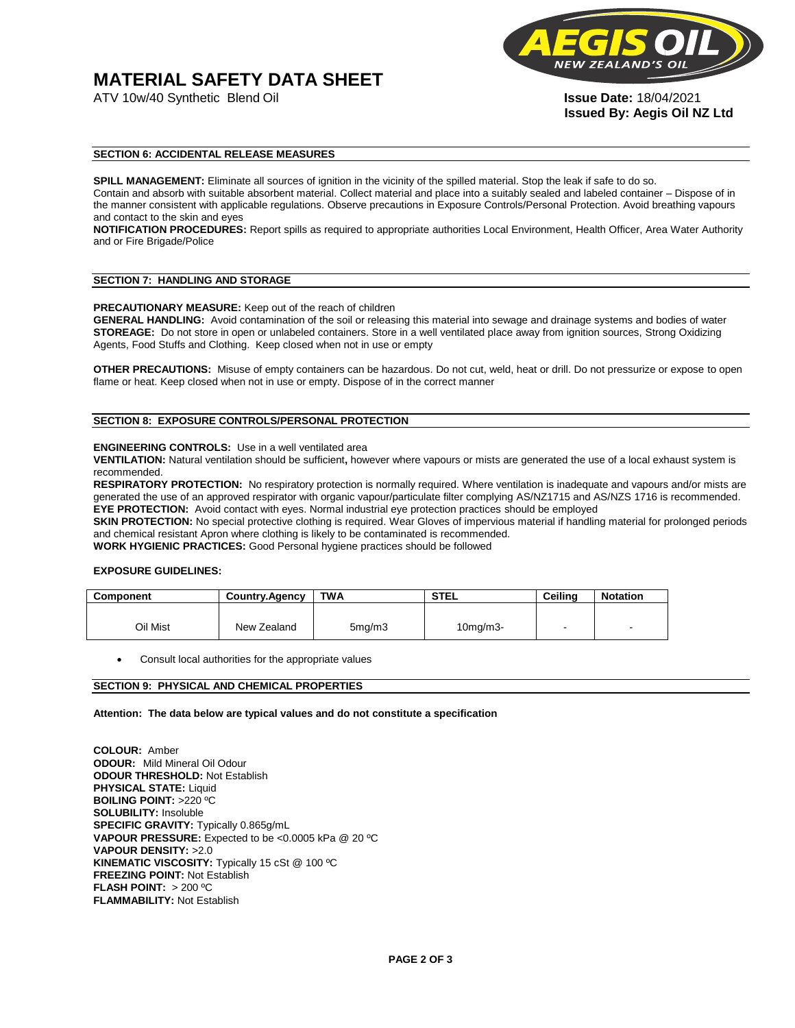# **MATERIAL SAFETY DATA SHEET**

ATV 10w/40 Synthetic Blend Oil **Issue Date:** 18/04/2021



**Issued By: Aegis Oil NZ Ltd** 

#### **SECTION 6: ACCIDENTAL RELEASE MEASURES**

**SPILL MANAGEMENT:** Eliminate all sources of ignition in the vicinity of the spilled material. Stop the leak if safe to do so. Contain and absorb with suitable absorbent material. Collect material and place into a suitably sealed and labeled container – Dispose of in the manner consistent with applicable regulations. Observe precautions in Exposure Controls/Personal Protection. Avoid breathing vapours and contact to the skin and eyes

**NOTIFICATION PROCEDURES:** Report spills as required to appropriate authorities Local Environment, Health Officer, Area Water Authority and or Fire Brigade/Police

#### **SECTION 7: HANDLING AND STORAGE**

**PRECAUTIONARY MEASURE:** Keep out of the reach of children

**GENERAL HANDLING:** Avoid contamination of the soil or releasing this material into sewage and drainage systems and bodies of water **STOREAGE:** Do not store in open or unlabeled containers. Store in a well ventilated place away from ignition sources, Strong Oxidizing Agents, Food Stuffs and Clothing. Keep closed when not in use or empty

**OTHER PRECAUTIONS:** Misuse of empty containers can be hazardous. Do not cut, weld, heat or drill. Do not pressurize or expose to open flame or heat. Keep closed when not in use or empty. Dispose of in the correct manner

### **SECTION 8: EXPOSURE CONTROLS/PERSONAL PROTECTION**

#### **ENGINEERING CONTROLS:** Use in a well ventilated area

**VENTILATION:** Natural ventilation should be sufficient**,** however where vapours or mists are generated the use of a local exhaust system is recommended.

**RESPIRATORY PROTECTION:** No respiratory protection is normally required. Where ventilation is inadequate and vapours and/or mists are generated the use of an approved respirator with organic vapour/particulate filter complying AS/NZ1715 and AS/NZS 1716 is recommended. **EYE PROTECTION:** Avoid contact with eyes. Normal industrial eye protection practices should be employed

**SKIN PROTECTION:** No special protective clothing is required. Wear Gloves of impervious material if handling material for prolonged periods and chemical resistant Apron where clothing is likely to be contaminated is recommended.

**WORK HYGIENIC PRACTICES:** Good Personal hygiene practices should be followed

#### **EXPOSURE GUIDELINES:**

| <b>Component</b> | <b>Country.Agency</b> | <b>TWA</b>          | <b>STEL</b>    | Ceilina | <b>Notation</b>          |
|------------------|-----------------------|---------------------|----------------|---------|--------------------------|
|                  |                       |                     |                |         |                          |
| Oil Mist         | New Zealand           | 5 <sub>mq</sub> /m3 | $10$ mg/m $3-$ |         | $\overline{\phantom{a}}$ |

Consult local authorities for the appropriate values

#### **SECTION 9: PHYSICAL AND CHEMICAL PROPERTIES**

**Attention: The data below are typical values and do not constitute a specification** 

**COLOUR:** Amber **ODOUR:** Mild Mineral Oil Odour **ODOUR THRESHOLD:** Not Establish **PHYSICAL STATE:** Liquid **BOILING POINT:** >220 ºC **SOLUBILITY:** Insoluble **SPECIFIC GRAVITY:** Typically 0.865g/mL **VAPOUR PRESSURE:** Expected to be <0.0005 kPa @ 20 ºC **VAPOUR DENSITY:** >2.0 **KINEMATIC VISCOSITY:** Typically 15 cSt @ 100 ºC **FREEZING POINT: Not Establish FLASH POINT:** > 200 ºC **FLAMMABILITY:** Not Establish